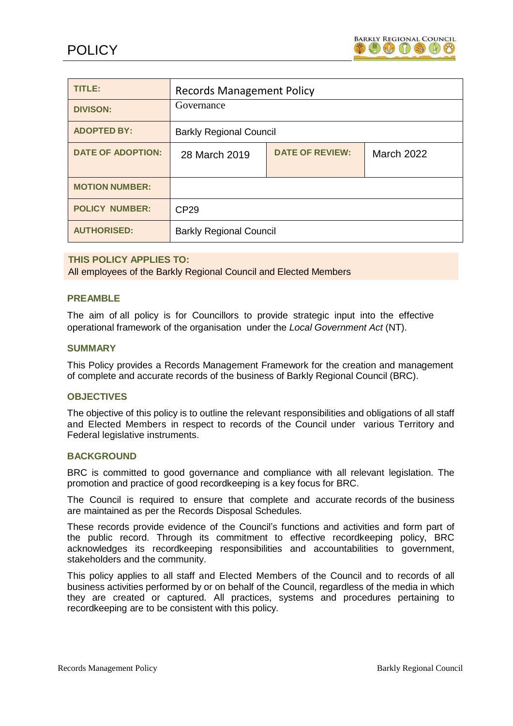

| <b>TITLE:</b>            | <b>Records Management Policy</b> |                        |                   |
|--------------------------|----------------------------------|------------------------|-------------------|
| <b>DIVISON:</b>          | Governance                       |                        |                   |
| <b>ADOPTED BY:</b>       | <b>Barkly Regional Council</b>   |                        |                   |
| <b>DATE OF ADOPTION:</b> | 28 March 2019                    | <b>DATE OF REVIEW:</b> | <b>March 2022</b> |
| <b>MOTION NUMBER:</b>    |                                  |                        |                   |
| <b>POLICY NUMBER:</b>    | <b>CP29</b>                      |                        |                   |
| <b>AUTHORISED:</b>       | <b>Barkly Regional Council</b>   |                        |                   |

# **THIS POLICY APPLIES TO:**

All employees of the Barkly Regional Council and Elected Members

## **PREAMBLE**

The aim of all policy is for Councillors to provide strategic input into the effective operational framework of the organisation under the *Local Government Act* (NT).

#### **SUMMARY**

This Policy provides a Records Management Framework for the creation and management of complete and accurate records of the business of Barkly Regional Council (BRC).

#### **OBJECTIVES**

The objective of this policy is to outline the relevant responsibilities and obligations of all staff and Elected Members in respect to records of the Council under various Territory and Federal legislative instruments.

#### **BACKGROUND**

BRC is committed to good governance and compliance with all relevant legislation. The promotion and practice of good recordkeeping is a key focus for BRC.

The Council is required to ensure that complete and accurate records of the business are maintained as per the Records Disposal Schedules.

These records provide evidence of the Council's functions and activities and form part of the public record. Through its commitment to effective recordkeeping policy, BRC acknowledges its recordkeeping responsibilities and accountabilities to government, stakeholders and the community.

This policy applies to all staff and Elected Members of the Council and to records of all business activities performed by or on behalf of the Council, regardless of the media in which they are created or captured. All practices, systems and procedures pertaining to recordkeeping are to be consistent with this policy.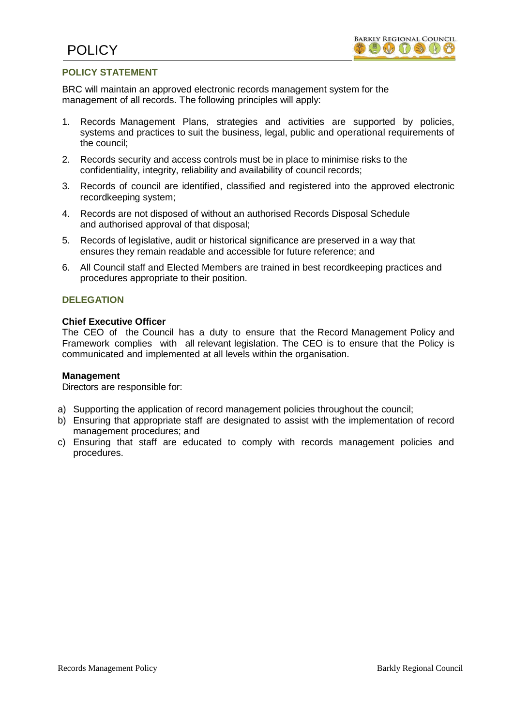# **POLICY STATEMENT**

BRC will maintain an approved electronic records management system for the management of all records. The following principles will apply:

- 1. Records Management Plans, strategies and activities are supported by policies, systems and practices to suit the business, legal, public and operational requirements of the council;
- 2. Records security and access controls must be in place to minimise risks to the confidentiality, integrity, reliability and availability of council records;
- 3. Records of council are identified, classified and registered into the approved electronic recordkeeping system;
- 4. Records are not disposed of without an authorised Records Disposal Schedule and authorised approval of that disposal;
- 5. Records of legislative, audit or historical significance are preserved in a way that ensures they remain readable and accessible for future reference; and
- 6. All Council staff and Elected Members are trained in best recordkeeping practices and procedures appropriate to their position.

# **DELEGATION**

### **Chief Executive Officer**

The CEO of the Council has a duty to ensure that the Record Management Policy and Framework complies with all relevant legislation. The CEO is to ensure that the Policy is communicated and implemented at all levels within the organisation.

### **Management**

Directors are responsible for:

- a) Supporting the application of record management policies throughout the council;
- b) Ensuring that appropriate staff are designated to assist with the implementation of record management procedures; and
- c) Ensuring that staff are educated to comply with records management policies and procedures.